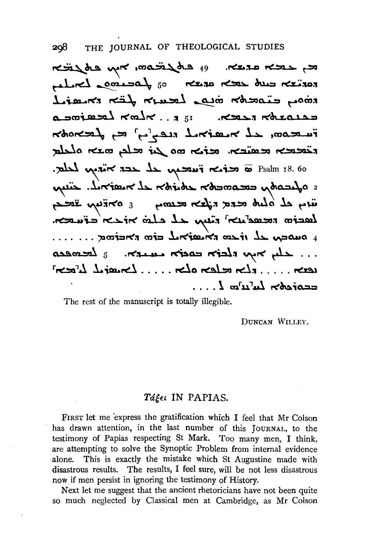$\kappa$ مختلم عديمه. 49 مريضه من مهم على تخصص من المسلم من المسلم من المسلم من المسلم من المسلم من المس the complete so the most due that rinon Einscher inte Leure für Eranit a soined Kalk. 151 Keep rolease imeson, et neatrul megler eg franson وتحديث من الله عنه من الله عنه من المحمد المحمد المعاصر Psalm 18.60 s afranta cocomodo córidos de maioría. cuyo wing al alut cera rifer recong s arring in لعجسته تحمينه مله ملبتة تحسكته تحسحه ccotest Lutulos L....

The rest of the manuscript is totally illegible.

DUNCAN WILLEY.

## Táğet IN PAPIAS.

FIRST let me express the gratification which I feel that Mr Colson has drawn attention, in the last number of this JOURNAL, to the testimony of Papias respecting St Mark. Too many men, I think, are attempting to solve the Synoptic Problem from internal evidence alone. This is exactly the mistake which St Augustine made with disastrous results. The results, I feel sure, will be not less disastrous now if men persist in ignoring the testimony of History.

Next let me suggest that the ancient rhetoricians have not been quite so much neglected by Classical men at Cambridge, as Mr Colson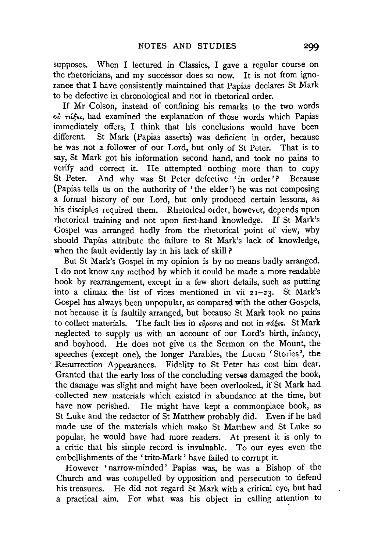supposes. When I lectured in Classics, I gave a regular course on the rhetoricians, and my successor does so now. It is not from ignorance that I have consistently maintained that Papias declares St Mark to be defective in chronological and not in rhetorical order.

If Mr Colson, instead of confining his remarks to the two words ov ráken, had examined the explanation of those words which Papias immediately offers, I think that his conclusions would have been different. St Mark (Papias asserts) was deficient in order, because he was not a follower of our Lord, but only of St Peter. That is to say, St Mark got his information second hand, and took no pains to verify and correct it. He attempted nothing more than to copy St Peter. And why was St Peter defective 'in order'? Because (Papias tells us on the authority of ' the elder') he was not composing a formal history of our Lord, but only produced certain lessons, as his disciples required them. Rhetorical order, however, depends upon rhetorical training and not upon first-hand knowledge. If St Mark's Gospel was arranged badly from the rhetorical point of view, why should Papias attribute the failure to St Mark's lack of knowledge, when the fault evidently lay in his lack of skill?

But St Mark's Gospel in my opinion is by no means badly arranged. I do not know any method by which it could be made a more readable book by rearrangement, except in a few short details, such as putting into a climax the list of vices mentioned in vii  $2I-23$ . St Mark's Gospel has always been unpopular, as compared with the other Gospels, not because it is faultily arranged, but because St Mark took no pains to collect materials. The fault lies in  $\epsilon_{\nu}^{\nu}$ <sub>p</sub> $\epsilon_{\nu}$  and not in  $\tau_{\alpha}^{\nu}$ <sub>is</sub>. St Mark neglected to supply us with an account of our Lord's birth, infancy, and boyhood. He does not give us the Sermon on the Mount, the speeches (except one), the longer Parables, the Lucan ' Stories', the Resurrection Appearances. Fidelity to St Peter has cost him dear. Granted that the early loss of the concluding verses damaged the book, the damage was slight and might have been overlooked, if St Mark had collected new materials which existed in abundance at the time, but have now perished. He might have kept a commonplace book, as St Luke and the redactor of St Matthew probably did. Even if he had made use of the materials which make St Matthew and St Luke so popular, he would have had more readers. At present it is only to a critic that his simple record is invaluable. To our eyes even the embellishments of the 'trito-Mark' have failed to corrupt it.

However 'narrow-minded' Papias was, he was a Bishop of the Church and was compelled by opposition and persecution to defend his treasures. He did not regard St Mark with a critical eye, but had a practical aim. For what was his object in calling attention to